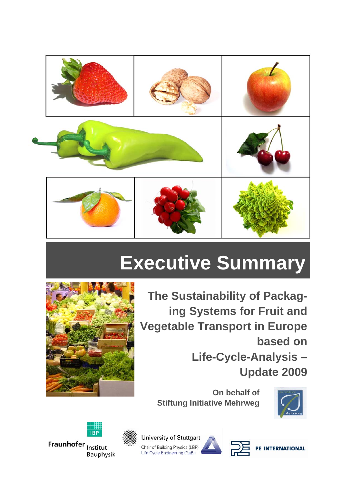

# **Executive Summary**



**The Sustainability of Packaging Systems for Fruit and Vegetable Transport in Europe based on Life-Cycle-Analysis – Update 2009** 

**On behalf of Stiftung Initiative Mehrweg** 





**University of Stuttgart** Chair of Building Physics (LBP) Life Cycle Engineering (GaBi)



PE INTERNATIONAL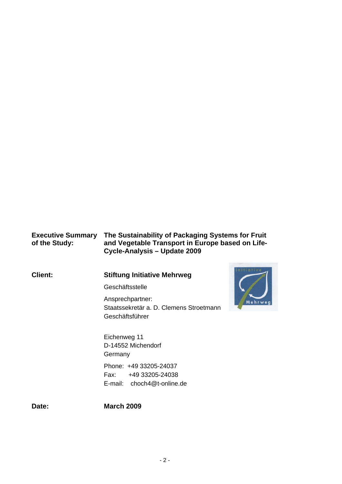#### **Executive Summary The Sustainability of Packaging Systems for Fruit of the Study: and Vegetable Transport in Europe based on Life-Cycle-Analysis – Update 2009**

**Client:** 

### **Stiftung Initiative Mehrweg**

**Geschäftsstelle** 

Ansprechpartner: Staatssekretär a. D. Clemens Stroetmann Geschäftsführer



Eichenweg 11 D-14552 Michendorf **Germany** Phone: +49 33205-24037 Fax: +49 33205-24038 E-mail: choch4@t-online.de

**Date:**

**March 2009**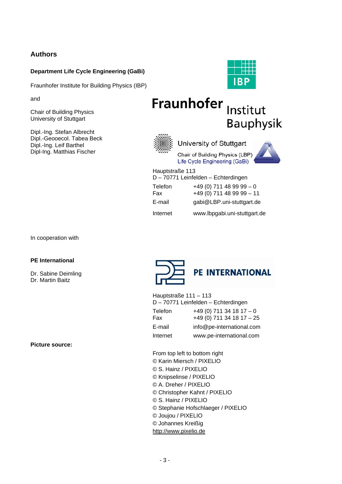#### **Authors**

#### **Department Life Cycle Engineering (GaBi)**

Fraunhofer Institute for Building Physics (IBP)

and

Chair of Building Physics University of Stuttgart

Dipl.-Ing. Stefan Albrecht Dipl.-Geooecol. Tabea Beck Dipl.-Ing. Leif Barthel Dipl-Ing. Matthias Fischer



# Fraunhofer Institut Bauphysik



University of Stuttgart

Chair of Building Physics (LBP) Life Cycle Engineering (GaBi)



Hauptstraße 113 D – 70771 Leinfelden – Echterdingen

| <u>D TUTTLOMNUMUM LUMONINUM</u> |                              |
|---------------------------------|------------------------------|
| Telefon                         | $+49(0)$ 711 48 99 99 - 0    |
| Fax                             | $+49(0)$ 711 48 99 99 - 11   |
| E-mail                          | gabi@LBP.uni-stuttgart.de    |
| Internet                        | www.lbpgabi.uni-stuttgart.de |

In cooperation with

#### **PE International**

Dr. Sabine Deimling Dr. Martin Baitz

**Picture source:** 



Hauptstraße 111 – 113 D – 70771 Leinfelden – Echterdingen

| Telefon<br>Fax | $+49(0)$ 711 34 18 17 - 0<br>$+49(0)$ 711 34 18 17 - 25 |
|----------------|---------------------------------------------------------|
| E-mail         | info@pe-international.com                               |
| Internet       | www.pe-international.com                                |

From top left to bottom right © Karin Miersch / PIXELIO © S. Hainz / PIXELIO © Knipselinse / PIXELIO © A. Dreher / PIXELIO © Christopher Kahnt / PIXELIO © S. Hainz / PIXELIO © Stephanie Hofschlaeger / PIXELIO © Joujou / PIXELIO © Johannes Kreißig http://www.pixelio.de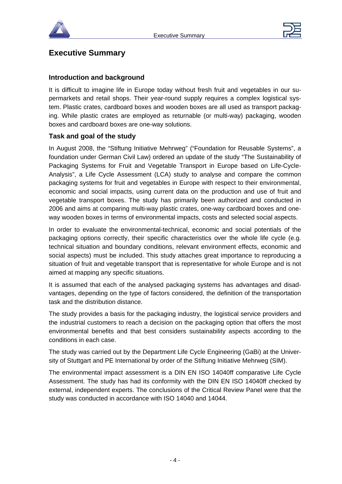



## **Executive Summary**

#### **Introduction and background**

It is difficult to imagine life in Europe today without fresh fruit and vegetables in our supermarkets and retail shops. Their year-round supply requires a complex logistical system. Plastic crates, cardboard boxes and wooden boxes are all used as transport packaging. While plastic crates are employed as returnable (or multi-way) packaging, wooden boxes and cardboard boxes are one-way solutions.

#### **Task and goal of the study**

In August 2008, the "Stiftung Initiative Mehrweg" ("Foundation for Reusable Systems", a foundation under German Civil Law) ordered an update of the study "The Sustainability of Packaging Systems for Fruit and Vegetable Transport in Europe based on Life-Cycle-Analysis", a Life Cycle Assessment (LCA) study to analyse and compare the common packaging systems for fruit and vegetables in Europe with respect to their environmental, economic and social impacts, using current data on the production and use of fruit and vegetable transport boxes. The study has primarily been authorized and conducted in 2006 and aims at comparing multi-way plastic crates, one-way cardboard boxes and oneway wooden boxes in terms of environmental impacts, costs and selected social aspects.

In order to evaluate the environmental-technical, economic and social potentials of the packaging options correctly, their specific characteristics over the whole life cycle (e.g. technical situation and boundary conditions, relevant environment effects, economic and social aspects) must be included. This study attaches great importance to reproducing a situation of fruit and vegetable transport that is representative for whole Europe and is not aimed at mapping any specific situations.

It is assumed that each of the analysed packaging systems has advantages and disadvantages, depending on the type of factors considered, the definition of the transportation task and the distribution distance.

The study provides a basis for the packaging industry, the logistical service providers and the industrial customers to reach a decision on the packaging option that offers the most environmental benefits and that best considers sustainability aspects according to the conditions in each case.

The study was carried out by the Department Life Cycle Engineering (GaBi) at the University of Stuttgart and PE International by order of the Stiftung Initiative Mehrweg (SIM).

The environmental impact assessment is a DIN EN ISO 14040ff comparative Life Cycle Assessment. The study has had its conformity with the DIN EN ISO 14040ff checked by external, independent experts. The conclusions of the Critical Review Panel were that the study was conducted in accordance with ISO 14040 and 14044.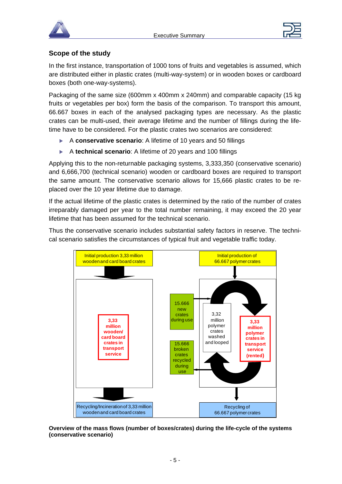



#### **Scope of the study**

In the first instance, transportation of 1000 tons of fruits and vegetables is assumed, which are distributed either in plastic crates (multi-way-system) or in wooden boxes or cardboard boxes (both one-way-systems).

Packaging of the same size (600mm x 400mm x 240mm) and comparable capacity (15 kg fruits or vegetables per box) form the basis of the comparison. To transport this amount, 66.667 boxes in each of the analysed packaging types are necessary. As the plastic crates can be multi-used, their average lifetime and the number of fillings during the lifetime have to be considered. For the plastic crates two scenarios are considered:

- ▶ A **conservative scenario**: A lifetime of 10 years and 50 fillings
- ▶ A **technical scenario**: A lifetime of 20 years and 100 fillings

Applying this to the non-returnable packaging systems, 3,333,350 (conservative scenario) and 6,666,700 (technical scenario) wooden or cardboard boxes are required to transport the same amount. The conservative scenario allows for 15,666 plastic crates to be replaced over the 10 year lifetime due to damage.

If the actual lifetime of the plastic crates is determined by the ratio of the number of crates irreparably damaged per year to the total number remaining, it may exceed the 20 year lifetime that has been assumed for the technical scenario.

Thus the conservative scenario includes substantial safety factors in reserve. The technical scenario satisfies the circumstances of typical fruit and vegetable traffic today.



**Overview of the mass flows (number of boxes/crates) during the life-cycle of the systems (conservative scenario)**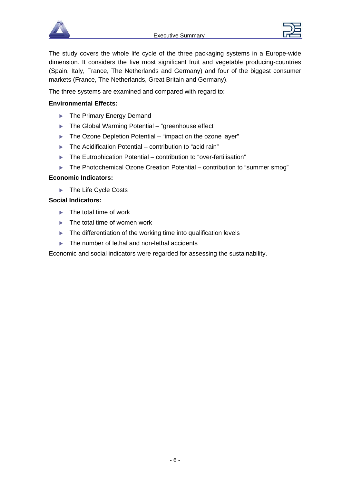



The study covers the whole life cycle of the three packaging systems in a Europe-wide dimension. It considers the five most significant fruit and vegetable producing-countries (Spain, Italy, France, The Netherlands and Germany) and four of the biggest consumer markets (France, The Netherlands, Great Britain and Germany).

The three systems are examined and compared with regard to:

#### **Environmental Effects:**

- $\blacktriangleright$  The Primary Energy Demand
- $\blacktriangleright$  The Global Warming Potential "greenhouse effect"
- $\blacktriangleright$  The Ozone Depletion Potential "impact on the ozone layer"
- $\blacktriangleright$  The Acidification Potential contribution to "acid rain"
- $\blacktriangleright$  The Eutrophication Potential contribution to "over-fertilisation"
- $\blacktriangleright$  The Photochemical Ozone Creation Potential contribution to "summer smog"

#### **Economic Indicators:**

 $\blacktriangleright$  The Life Cycle Costs

#### **Social Indicators:**

- $\blacktriangleright$  The total time of work
- $\blacktriangleright$  The total time of women work
- $\blacktriangleright$  The differentiation of the working time into qualification levels
- $\blacktriangleright$  The number of lethal and non-lethal accidents

Economic and social indicators were regarded for assessing the sustainability.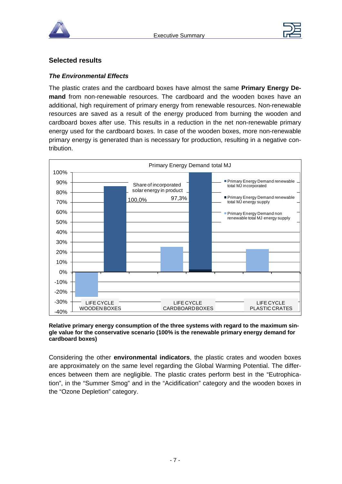



#### **Selected results**

#### *The Environmental Effects*

The plastic crates and the cardboard boxes have almost the same **Primary Energy Demand** from non-renewable resources. The cardboard and the wooden boxes have an additional, high requirement of primary energy from renewable resources. Non-renewable resources are saved as a result of the energy produced from burning the wooden and cardboard boxes after use. This results in a reduction in the net non-renewable primary energy used for the cardboard boxes. In case of the wooden boxes, more non-renewable primary energy is generated than is necessary for production, resulting in a negative contribution.



#### **Relative primary energy consumption of the three systems with regard to the maximum single value for the conservative scenario (100% is the renewable primary energy demand for cardboard boxes)**

Considering the other **environmental indicators**, the plastic crates and wooden boxes are approximately on the same level regarding the Global Warming Potential. The differences between them are negligible. The plastic crates perform best in the "Eutrophication", in the "Summer Smog" and in the "Acidification" category and the wooden boxes in the "Ozone Depletion" category.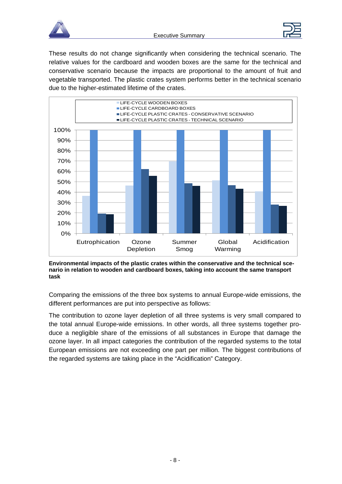



These results do not change significantly when considering the technical scenario. The relative values for the cardboard and wooden boxes are the same for the technical and conservative scenario because the impacts are proportional to the amount of fruit and vegetable transported. The plastic crates system performs better in the technical scenario due to the higher-estimated lifetime of the crates.



**Environmental impacts of the plastic crates within the conservative and the technical scenario in relation to wooden and cardboard boxes, taking into account the same transport task** 

Comparing the emissions of the three box systems to annual Europe-wide emissions, the different performances are put into perspective as follows:

The contribution to ozone layer depletion of all three systems is very small compared to the total annual Europe-wide emissions. In other words, all three systems together produce a negligible share of the emissions of all substances in Europe that damage the ozone layer. In all impact categories the contribution of the regarded systems to the total European emissions are not exceeding one part per million. The biggest contributions of the regarded systems are taking place in the "Acidification" Category.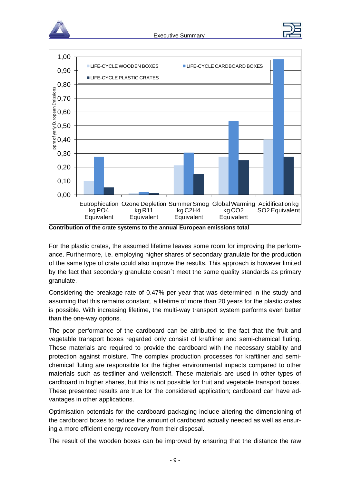





**Contribution of the crate systems to the annual European emissions total** 

For the plastic crates, the assumed lifetime leaves some room for improving the performance. Furthermore, i.e. employing higher shares of secondary granulate for the production of the same type of crate could also improve the results. This approach is however limited by the fact that secondary granulate doesn`t meet the same quality standards as primary granulate.

Considering the breakage rate of 0.47% per year that was determined in the study and assuming that this remains constant, a lifetime of more than 20 years for the plastic crates is possible. With increasing lifetime, the multi-way transport system performs even better than the one-way options.

The poor performance of the cardboard can be attributed to the fact that the fruit and vegetable transport boxes regarded only consist of kraftliner and semi-chemical fluting. These materials are required to provide the cardboard with the necessary stability and protection against moisture. The complex production processes for kraftliner and semichemical fluting are responsible for the higher environmental impacts compared to other materials such as testliner and wellenstoff. These materials are used in other types of cardboard in higher shares, but this is not possible for fruit and vegetable transport boxes. These presented results are true for the considered application; cardboard can have advantages in other applications.

Optimisation potentials for the cardboard packaging include altering the dimensioning of the cardboard boxes to reduce the amount of cardboard actually needed as well as ensuring a more efficient energy recovery from their disposal.

The result of the wooden boxes can be improved by ensuring that the distance the raw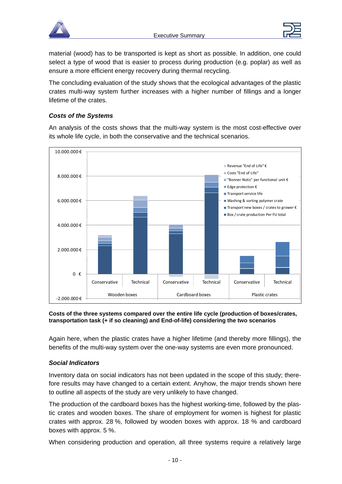



material (wood) has to be transported is kept as short as possible. In addition, one could select a type of wood that is easier to process during production (e.g. poplar) as well as ensure a more efficient energy recovery during thermal recycling.

The concluding evaluation of the study shows that the ecological advantages of the plastic crates multi-way system further increases with a higher number of fillings and a longer lifetime of the crates.

#### *Costs of the Systems*

An analysis of the costs shows that the multi-way system is the most cost-effective over its whole life cycle, in both the conservative and the technical scenarios.



#### **Costs of the three systems compared over the entire life cycle (production of boxes/crates, transportation task (+ if so cleaning) and End-of-life) considering the two scenarios**

Again here, when the plastic crates have a higher lifetime (and thereby more fillings), the benefits of the multi-way system over the one-way systems are even more pronounced.

#### *Social Indicators*

Inventory data on social indicators has not been updated in the scope of this study; therefore results may have changed to a certain extent. Anyhow, the major trends shown here to outline all aspects of the study are very unlikely to have changed.

The production of the cardboard boxes has the highest working-time, followed by the plastic crates and wooden boxes. The share of employment for women is highest for plastic crates with approx. 28 %, followed by wooden boxes with approx. 18 % and cardboard boxes with approx. 5 %.

When considering production and operation, all three systems require a relatively large